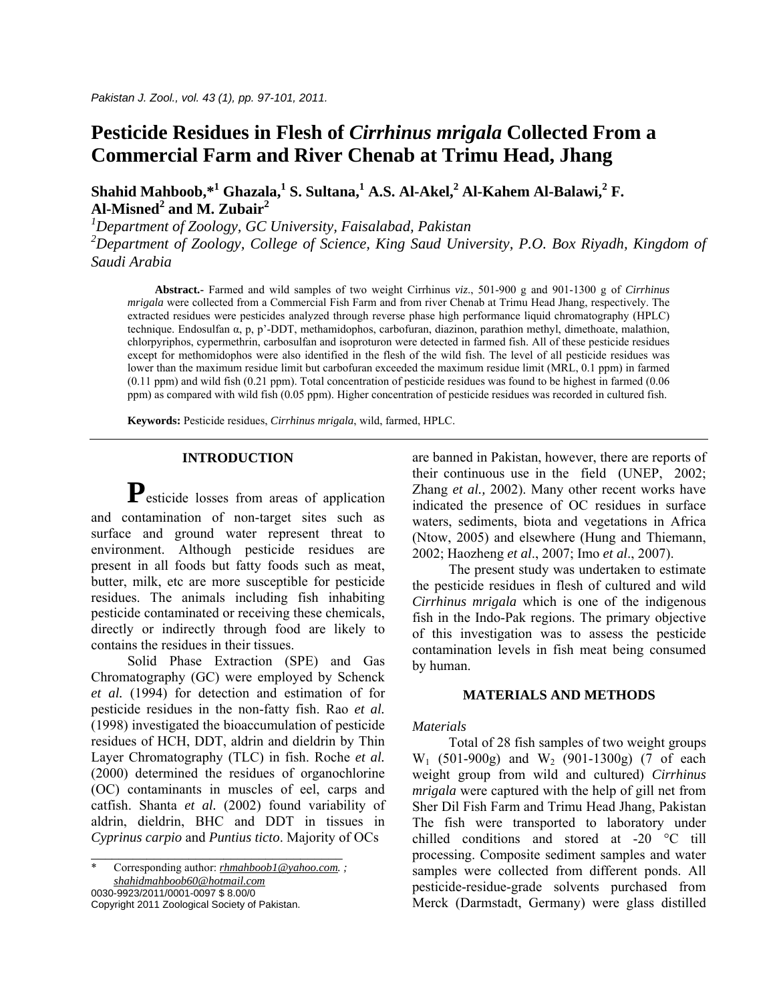# **Pesticide Residues in Flesh of** *Cirrhinus mrigala* **Collected From a Commercial Farm and River Chenab at Trimu Head, Jhang**

 $\boldsymbol{\delta}$ Shahid Mahboob, $^{*1}$  Ghazala, $^{1}$  S. Sultana, $^{1}$  A.S. Al-Akel, $^{2}$  Al-Kahem Al-Balawi, $^{2}$  F. **Al-Misned2 and M. Zubair<sup>2</sup>**

*1 Department of Zoology, GC University, Faisalabad, Pakistan 2 Department of Zoology, College of Science, King Saud University, P.O. Box Riyadh, Kingdom of Saudi Arabia* 

 **Abstract.-** Farmed and wild samples of two weight Cirrhinus *viz*., 501-900 g and 901-1300 g of *Cirrhinus mrigala* were collected from a Commercial Fish Farm and from river Chenab at Trimu Head Jhang, respectively. The extracted residues were pesticides analyzed through reverse phase high performance liquid chromatography (HPLC) technique. Endosulfan α, p, p'-DDT, methamidophos, carbofuran, diazinon, parathion methyl, dimethoate, malathion, chlorpyriphos, cypermethrin, carbosulfan and isoproturon were detected in farmed fish. All of these pesticide residues except for methomidophos were also identified in the flesh of the wild fish. The level of all pesticide residues was lower than the maximum residue limit but carbofuran exceeded the maximum residue limit (MRL, 0.1 ppm) in farmed  $(0.11$  ppm) and wild fish  $(0.21$  ppm). Total concentration of pesticide residues was found to be highest in farmed  $(0.06$ ppm) as compared with wild fish (0.05 ppm). Higher concentration of pesticide residues was recorded in cultured fish.

**Keywords:** Pesticide residues, *Cirrhinus mrigala*, wild, farmed, HPLC.

## **INTRODUCTION**

P<sub>esticide</sub> losses from areas of application and contamination of non-target sites such as surface and ground water represent threat to environment. Although pesticide residues are present in all foods but fatty foods such as meat, butter, milk, etc are more susceptible for pesticide residues. The animals including fish inhabiting pesticide contaminated or receiving these chemicals, directly or indirectly through food are likely to contains the residues in their tissues.

 Solid Phase Extraction (SPE) and Gas Chromatography (GC) were employed by Schenck *et al.* (1994) for detection and estimation of for pesticide residues in the non-fatty fish. Rao *et al.* (1998) investigated the bioaccumulation of pesticide residues of HCH, DDT, aldrin and dieldrin by Thin Layer Chromatography (TLC) in fish. Roche *et al.* (2000) determined the residues of organochlorine (OC) contaminants in muscles of eel, carps and catfish. Shanta *et al.* (2002) found variability of aldrin, dieldrin, BHC and DDT in tissues in *Cyprinus carpio* and *Puntius ticto*. Majority of OCs

0030-9923/2011/0001-0097 \$ 8.00/0

Copyright 2011 Zoological Society of Pakistan.

are banned in Pakistan, however, there are reports of their continuous use in the field (UNEP, 2002; Zhang *et al.,* 2002). Many other recent works have indicated the presence of OC residues in surface waters, sediments, biota and vegetations in Africa (Ntow, 2005) and elsewhere (Hung and Thiemann, 2002; Haozheng *et al*., 2007; Imo *et al*., 2007).

 The present study was undertaken to estimate the pesticide residues in flesh of cultured and wild *Cirrhinus mrigala* which is one of the indigenous fish in the Indo-Pak regions. The primary objective of this investigation was to assess the pesticide contamination levels in fish meat being consumed by human.

## **MATERIALS AND METHODS**

## *Materials*

Total of 28 fish samples of two weight groups  $W_1$  (501-900g) and  $W_2$  (901-1300g) (7 of each weight group from wild and cultured) *Cirrhinus mrigala* were captured with the help of gill net from Sher Dil Fish Farm and Trimu Head Jhang, Pakistan The fish were transported to laboratory under chilled conditions and stored at -20 °C till processing. Composite sediment samples and water samples were collected from different ponds. All pesticide-residue-grade solvents purchased from Merck (Darmstadt, Germany) were glass distilled

*\_\_\_\_\_\_\_\_\_\_\_\_\_\_\_\_\_\_\_\_\_\_\_\_\_\_\_\_\_\_\_\_\_\_\_\_*  \* Corresponding author: *[rhmahboob1@yahoo.com](mailto:rhmahboob1@yahoo.com). ; [shahidmahboob60@hotmail.com](mailto:shahidmahboob60@hotmail.com)*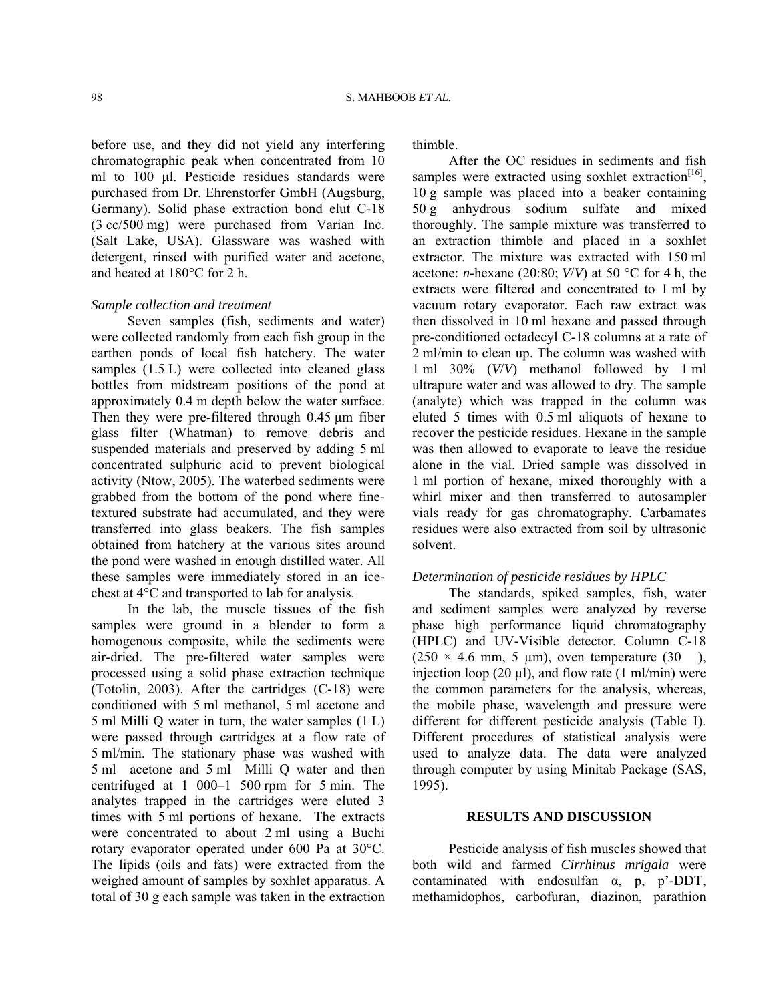before use, and they did not yield any interfering chromatographic peak when concentrated from 10 ml to 100 µl. Pesticide residues standards were purchased from Dr. Ehrenstorfer GmbH (Augsburg, Germany). Solid phase extraction bond elut C-18 (3 cc/500 mg) were purchased from Varian Inc. (Salt Lake, USA). Glassware was washed with detergent, rinsed with purified water and acetone, and heated at 180°C for 2 h.

#### *Sample collection and treatment*

Seven samples (fish, sediments and water) were collected randomly from each fish group in the earthen ponds of local fish hatchery. The water samples  $(1.5 \text{ L})$  were collected into cleaned glass bottles from midstream positions of the pond at approximately 0.4 m depth below the water surface. Then they were pre-filtered through 0.45  $\mu$ m fiber glass filter (Whatman) to remove debris and suspended materials and preserved by adding 5 ml concentrated sulphuric acid to prevent biological activity (Ntow, 2005). The waterbed sediments were grabbed from the bottom of the pond where finetextured substrate had accumulated, and they were transferred into glass beakers. The fish samples obtained from hatchery at the various sites around the pond were washed in enough distilled water. All these samples were immediately stored in an icechest at 4°C and transported to lab for analysis.

 In the lab, the muscle tissues of the fish samples were ground in a blender to form a homogenous composite, while the sediments were air-dried. The pre-filtered water samples were processed using a solid phase extraction technique (Totolin, 2003). After the cartridges (C-18) were conditioned with 5 ml methanol, 5 ml acetone and 5 ml Milli Q water in turn, the water samples (1 L) were passed through cartridges at a flow rate of 5 ml/min. The stationary phase was washed with 5 ml acetone and 5 ml Milli Q water and then centrifuged at 1 000–1 500 rpm for 5 min. The analytes trapped in the cartridges were eluted 3 times with 5 ml portions of hexane. The extracts were concentrated to about 2 ml using a Buchi rotary evaporator operated under 600 Pa at 30°C. The lipids (oils and fats) were extracted from the weighed amount of samples by soxhlet apparatus. A total of 30 g each sample was taken in the extraction thimble.

 After the OC residues in sediments and fish samples were extracted using soxhlet extraction<sup>[16]</sup>, 10 g sample was placed into a beaker containing 50 g anhydrous sodium sulfate and mixed thoroughly. The sample mixture was transferred to an extraction thimble and placed in a soxhlet extractor. The mixture was extracted with 150 ml acetone: *n*-hexane (20:80;  $V/V$ ) at 50 °C for 4 h, the extracts were filtered and concentrated to 1 ml by vacuum rotary evaporator. Each raw extract was then dissolved in 10 ml hexane and passed through pre-conditioned octadecyl C-18 columns at a rate of 2 ml/min to clean up. The column was washed with 1 ml 30% (*V*/*V*) methanol followed by 1 ml ultrapure water and was allowed to dry. The sample (analyte) which was trapped in the column was eluted 5 times with 0.5 ml aliquots of hexane to recover the pesticide residues. Hexane in the sample was then allowed to evaporate to leave the residue alone in the vial. Dried sample was dissolved in 1 ml portion of hexane, mixed thoroughly with a whirl mixer and then transferred to autosampler vials ready for gas chromatography. Carbamates residues were also extracted from soil by ultrasonic solvent.

#### *Determination of pesticide residues by HPLC*

The standards, spiked samples, fish, water and sediment samples were analyzed by reverse phase high performance liquid chromatography (HPLC) and UV-Visible detector. Column C-18  $(250 \times 4.6 \text{ mm}, 5 \text{ \mu m})$ , oven temperature  $(30 \text{ m})$ , injection loop (20  $\mu$ l), and flow rate (1 ml/min) were the common parameters for the analysis, whereas, the mobile phase, wavelength and pressure were different for different pesticide analysis (Table I). Different procedures of statistical analysis were used to analyze data. The data were analyzed through computer by using Minitab Package (SAS, 1995).

### **RESULTS AND DISCUSSION**

 Pesticide analysis of fish muscles showed that both wild and farmed *Cirrhinus mrigala* were contaminated with endosulfan  $\alpha$ , p, p'-DDT, methamidophos, carbofuran, diazinon, parathion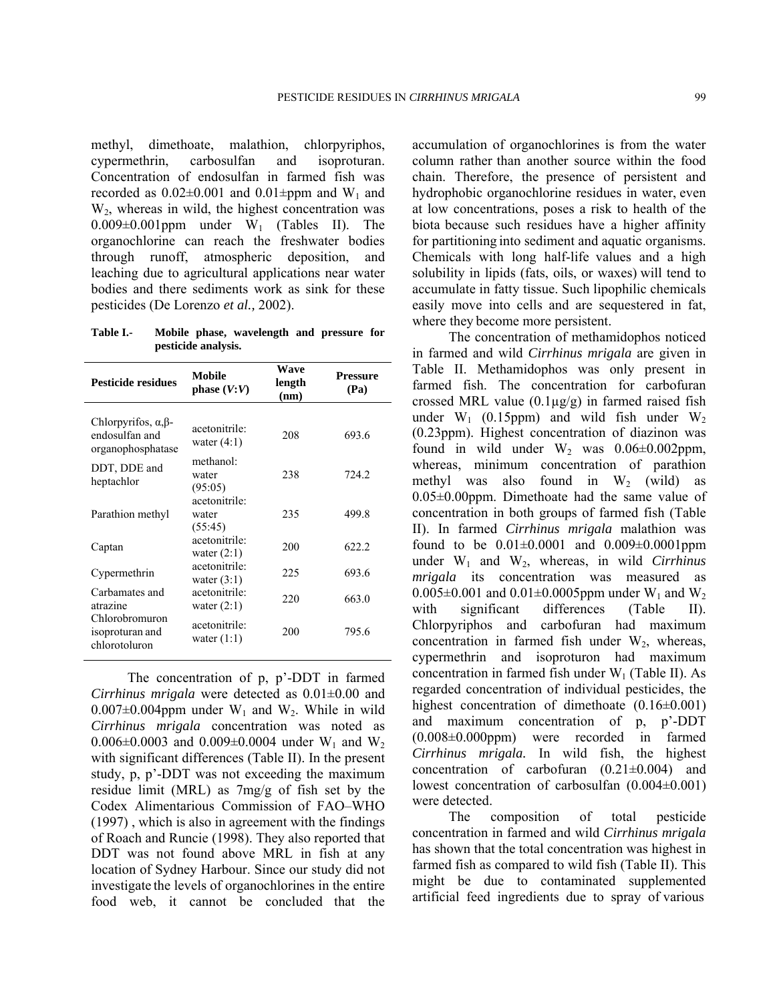methyl, dimethoate, malathion, chlorpyriphos, cypermethrin, carbosulfan and isoproturan. Concentration of endosulfan in farmed fish was recorded as  $0.02\pm0.001$  and  $0.01\pm$ ppm and W<sub>1</sub> and W2, whereas in wild, the highest concentration was  $0.009\pm0.001$ ppm under W<sub>1</sub> (Tables II). The organochlorine can reach the freshwater bodies through runoff, atmospheric deposition, and leaching due to agricultural applications near water bodies and there sediments work as sink for these pesticides (De Lorenzo *et al.,* 2002).

**Table I.- Mobile phase, wavelength and pressure for pesticide analysis.** 

| <b>Pesticide residues</b>                                                 | <b>Mobile</b><br>phase $(V:V)$             | Wave<br>length<br>(nm) | <b>Pressure</b><br>(Pa) |  |
|---------------------------------------------------------------------------|--------------------------------------------|------------------------|-------------------------|--|
| Chlorpyrifos, $\alpha$ , $\beta$ -<br>endosulfan and<br>organophosphatase | acetonitrile <sup>.</sup><br>water $(4:1)$ | 208                    | 693.6                   |  |
| DDT, DDE and<br>heptachlor                                                | methanol:<br>water<br>(95:05)              | 238                    | 724.2                   |  |
| Parathion methyl                                                          | acetonitrile:<br>water<br>(55:45)          | 235                    | 499.8                   |  |
| Captan                                                                    | acetonitrile:<br>water $(2:1)$             | 200                    | 622.2                   |  |
| Cypermethrin                                                              | acetonitrile:<br>water $(3:1)$             | 225                    | 693.6                   |  |
| Carbamates and<br>atrazine                                                | acetonitrile:<br>water $(2:1)$             | 220                    | 663.0                   |  |
| Chlorobromuron<br>isoproturan and<br>chlorotoluron                        | acetonitrile:<br>water $(1:1)$             | 200                    | 795.6                   |  |

 The concentration of p, p'-DDT in farmed *Cirrhinus mrigala* were detected as 0.01±0.00 and  $0.007\pm0.004$ ppm under W<sub>1</sub> and W<sub>2</sub>. While in wild *Cirrhinus mrigala* concentration was noted as 0.006 $\pm$ 0.0003 and 0.009 $\pm$ 0.0004 under W<sub>1</sub> and W<sub>2</sub> with significant differences (Table II). In the present study, p, p'-DDT was not exceeding the maximum residue limit (MRL) as 7mg/g of fish set by the Codex Alimentarious Commission of FAO–WHO (1997) , which is also in agreement with the findings of Roach and Runcie (1998). They also reported that DDT was not found above MRL in fish at any location of Sydney Harbour. Since our study did not investigate the levels of organochlorines in the entire food web, it cannot be concluded that the accumulation of organochlorines is from the water column rather than another source within the food chain. Therefore, the presence of persistent and hydrophobic organochlorine residues in water, even at low concentrations, poses a risk to health of the biota because such residues have a higher affinity for partitioning into sediment and aquatic organisms. Chemicals with long half-life values and a high solubility in lipids (fats, oils, or waxes) will tend to accumulate in fatty tissue. Such lipophilic chemicals easily move into cells and are sequestered in fat, where they become more persistent.

 The concentration of methamidophos noticed in farmed and wild *Cirrhinus mrigala* are given in Table II. Methamidophos was only present in farmed fish. The concentration for carbofuran crossed MRL value  $(0.1\mu g/g)$  in farmed raised fish under  $W_1$  (0.15ppm) and wild fish under  $W_2$ (0.23ppm). Highest concentration of diazinon was found in wild under  $W_2$  was  $0.06\pm0.002$ ppm, whereas, minimum concentration of parathion methyl was also found in  $W_2$  (wild) as 0.05±0.00ppm. Dimethoate had the same value of concentration in both groups of farmed fish (Table II). In farmed *Cirrhinus mrigala* malathion was found to be  $0.01\pm0.0001$  and  $0.009\pm0.0001$  ppm under W1 and W2, whereas, in wild *Cirrhinus mrigala* its concentration was measured as 0.005 $\pm$ 0.001 and 0.01 $\pm$ 0.0005ppm under W<sub>1</sub> and W<sub>2</sub> with significant differences (Table II). Chlorpyriphos and carbofuran had maximum concentration in farmed fish under  $W_2$ , whereas, cypermethrin and isoproturon had maximum concentration in farmed fish under  $W_1$  (Table II). As regarded concentration of individual pesticides, the highest concentration of dimethoate  $(0.16\pm0.001)$ and maximum concentration of p, p'-DDT (0.008±0.000ppm) were recorded in farmed *Cirrhinus mrigala.* In wild fish, the highest concentration of carbofuran (0.21±0.004) and lowest concentration of carbosulfan (0.004±0.001) were detected.

 The composition of total pesticide concentration in farmed and wild *Cirrhinus mrigala* has shown that the total concentration was highest in farmed fish as compared to wild fish (Table II). This might be due to contaminated supplemented artificial feed ingredients due to spray of various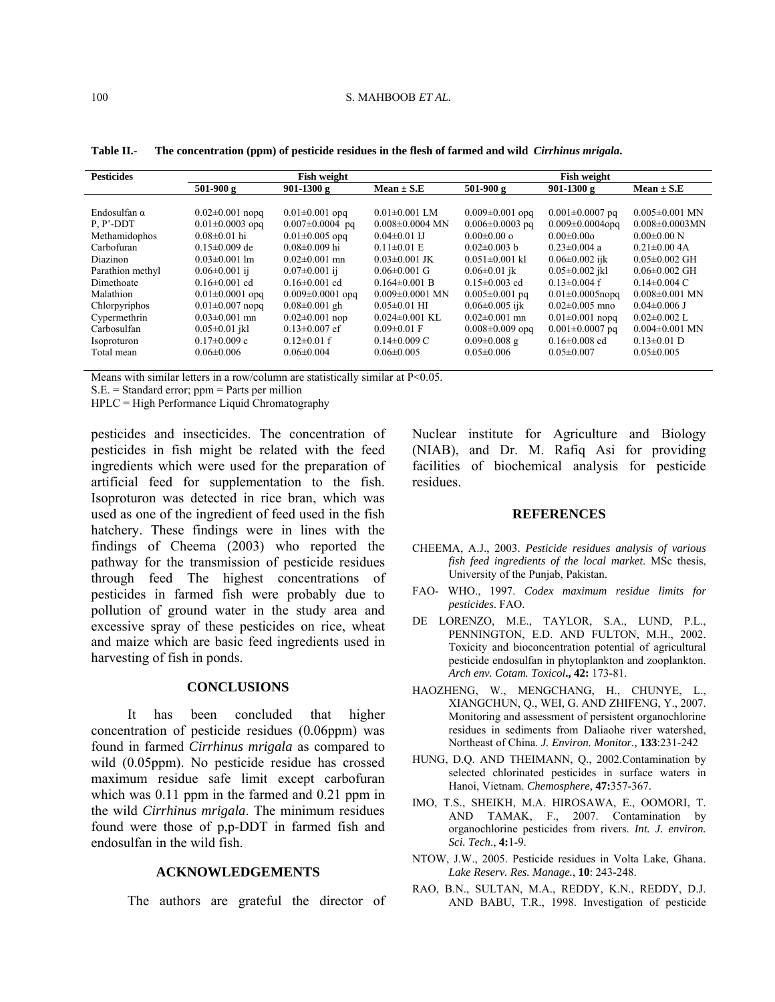Table II.-The concentration (ppm) of pesticide residues in the flesh of farmed and wild *Cirrhinus mrigala*.

| <b>Pesticides</b>   | <b>Fish weight</b>    |                        |                       | <b>Fish weight</b>    |                        |                      |
|---------------------|-----------------------|------------------------|-----------------------|-----------------------|------------------------|----------------------|
|                     | $501-900g$            | 901-1300 g             | $Mean \pm S.E$        | $501-900g$            | $901-1300g$            | $Mean \pm S.E$       |
|                     |                       |                        |                       |                       |                        |                      |
| Endosulfan $\alpha$ | $0.02\pm0.001$ nopq   | $0.01 \pm 0.001$ opg   | $0.01 \pm 0.001$ LM   | $0.009 \pm 0.001$ opg | $0.001 \pm 0.0007$ pq  | $0.005 \pm 0.001$ MN |
| $P, P'$ -DDT        | $0.01 \pm 0.0003$ opg | $0.007 \pm 0.0004$ pq  | $0.008 \pm 0.0004$ MN | $0.006 \pm 0.0003$ pq | $0.009 \pm 0.0004$ opg | $0.008\pm0.0003$ MN  |
| Methamidophos       | $0.08 \pm 0.01$ hi    | $0.01 \pm 0.005$ opg   | $0.04 \pm 0.01$ IJ    | $0.00 \pm 0.00$ o     | $0.00 \pm 0.00$ o      | $0.00 \pm 0.00$ N    |
| Carbofuran          | $0.15 \pm 0.009$ de   | $0.08 \pm 0.009$ hi    | $0.11 \pm 0.01$ E     | $0.02\pm0.003$ b      | $0.23 \pm 0.004$ a     | $0.21 \pm 0.004$ A   |
| <b>Diazinon</b>     | $0.03\pm0.001$ lm     | $0.02\pm0.001$ mn      | $0.03 \pm 0.001$ JK   | $0.051 \pm 0.001$ kl  | $0.06 \pm 0.002$ ijk   | $0.05 \pm 0.002$ GH  |
| Parathion methyl    | $0.06 \pm 0.001$ ij   | $0.07 \pm 0.001$ ii    | $0.06 \pm 0.001$ G    | $0.06 \pm 0.01$ jk    | $0.05 \pm 0.002$ jkl   | $0.06 \pm 0.002$ GH  |
| Dimethoate          | $0.16\pm0.001$ cd     | $0.16\pm0.001$ cd      | $0.164 \pm 0.001$ B   | $0.15 \pm 0.003$ cd   | $0.13 \pm 0.004$ f     | $0.14 \pm 0.004$ C   |
| Malathion           | $0.01 \pm 0.0001$ opg | $0.009 \pm 0.0001$ opg | $0.009 \pm 0.0001$ MN | $0.005 \pm 0.001$ pq  | $0.01 \pm 0.0005$ nopg | $0.008 \pm 0.001$ MN |
| Chlorpyriphos       | $0.01 \pm 0.007$ nopg | $0.08 \pm 0.001$ gh    | $0.05 \pm 0.01$ HI    | $0.06 \pm 0.005$ ijk  | $0.02\pm0.005$ mno     | $0.04\pm0.006$ J     |
| Cypermethrin        | $0.03 \pm 0.001$ mn   | $0.02 \pm 0.001$ nop   | $0.024 \pm 0.001$ KL  | $0.02 \pm 0.001$ mn   | $0.01 \pm 0.001$ nopg  | $0.02 \pm 0.002$ L   |
| Carbosulfan         | $0.05 \pm 0.01$ jkl   | $0.13 \pm 0.007$ ef    | $0.09 \pm 0.01$ F     | $0.008 \pm 0.009$ opg | $0.001 \pm 0.0007$ pq  | $0.004\pm0.001$ MN   |
| Isoproturon         | $0.17 \pm 0.009$ c    | $0.12 \pm 0.01$ f      | $0.14 \pm 0.009$ C    | $0.09 \pm 0.008$ g    | $0.16 \pm 0.008$ cd    | $0.13 \pm 0.01$ D    |
| Total mean          | $0.06 \pm 0.006$      | $0.06 \pm 0.004$       | $0.06 \pm 0.005$      | $0.05 \pm 0.006$      | $0.05 \pm 0.007$       | $0.05 \pm 0.005$     |
|                     |                       |                        |                       |                       |                        |                      |

Means with similar letters in a row/column are statistically similar at P<0.05.

 $S.E. = Standard error$ ; ppm = Parts per million

HPLC = High Performance Liquid Chromatography

pesticides and insecticides. The concentration of pesticides in fish might be related with the feed ingredients which were used for the preparation of artificial feed for supplementation to the fish. Isoproturon was detected in rice bran, which was used as one of the ingredient of feed used in the fish hatchery. These findings were in lines with the findings of Cheema (2003) who reported the pathway for the transmission of pesticide residues through feed The highest concentrations of pesticides in farmed fish were probably due to pollution of ground water in the study area and excessive spray of these pesticides on rice, wheat and maize which are basic feed ingredients used in harvesting of fish in ponds.

#### **CONCLUSIONS**

It has been concluded that higher concentration of pesticide residues (0.06ppm) was found in farmed *Cirrhinus mrigala* as compared to wild (0.05ppm). No pesticide residue has crossed maximum residue safe limit except carbofuran which was  $0.11$  ppm in the farmed and  $0.21$  ppm in the wild *Cirrhinus mrigala*. The minimum residues found were those of p,p-DDT in farmed fish and endosulfan in the wild fish.

## **ACKNOWLEDGEMENTS**

The authors are grateful the director of

Nuclear institute for Agriculture and Biology (NIAB), and Dr. M. Rafiq Asi for providing facilities of biochemical analysis for pesticide residues.

#### **REFERENCES**

- CHEEMA, A.J., 2003. Pesticide residues analysis of various fish feed ingredients of the local market. MSc thesis, University of the Punjab, Pakistan.
- FAO- WHO., 1997. Codex maximum residue limits for pesticides. FAO.
- DE LORENZO, M.E., TAYLOR, S.A., LUND, P.L., PENNINGTON, E.D. AND FULTON, M.H., 2002. Toxicity and bioconcentration potential of agricultural pesticide endosulfan in phytoplankton and zooplankton. Arch env. Cotam. Toxicol., 42: 173-81.
- HAOZHENG, W., MENGCHANG, H., CHUNYE, L., XIANGCHUN, Q., WEI, G. AND ZHIFENG, Y., 2007. Monitoring and assessment of persistent organochlorine residues in sediments from Daliaohe river watershed, Northeast of China. J. Environ. Monitor., 133:231-242
- HUNG, D.Q. AND THEIMANN, Q., 2002.Contamination by selected chlorinated pesticides in surface waters in Hanoi, Vietnam. Chemosphere, 47:357-367.
- IMO, T.S., SHEIKH, M.A. HIROSAWA, E., OOMORI, T. AND TAMAK, F., 2007. Contamination by organochlorine pesticides from rivers. Int. J. environ. Sci. Tech., 4:1-9.
- NTOW, J.W., 2005. Pesticide residues in Volta Lake. Ghana. Lake Reserv. Res. Manage., 10: 243-248.
- RAO, B.N., SULTAN, M.A., REDDY, K.N., REDDY, D.J. AND BABU, T.R., 1998. Investigation of pesticide